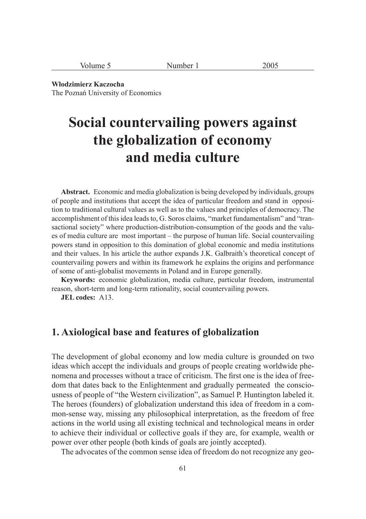| ີ | $n \alpha r$<br>$\sqrt{2}$ vumber | 200 <sup>5</sup><br>こい へい |
|---|-----------------------------------|---------------------------|
|---|-----------------------------------|---------------------------|

**Włodzimierz Kaczocha** The Poznań University of Economics

# **Social countervailing powers against the globalization of economy and media culture**

**Abstract.** Economic and media globalization is being developed by individuals, groups of people and institutions that accept the idea of particular freedom and stand in opposition to traditional cultural values as well as to the values and principles of democracy. The accomplishment of this idea leads to, G. Soros claims, "market fundamentalism" and "transactional society" where production-distribution-consumption of the goods and the values of media culture are most important – the purpose of human life. Social countervailing powers stand in opposition to this domination of global economic and media institutions and their values. In his article the author expands J.K. Galbraith's theoretical concept of countervailing powers and within its framework he explains the origins and performance of some of anti-globalist movements in Poland and in Europe generally.

**Keywords:** economic globalization, media culture, particular freedom, instrumental reason, short-term and long-term rationality, social countervailing powers.

**JEL codes:** A13.

### **1. Axiological base and features of globalization**

The development of global economy and low media culture is grounded on two ideas which accept the individuals and groups of people creating worldwide phenomena and processes without a trace of criticism. The first one is the idea of freedom that dates back to the Enlightenment and gradually permeated the consciousness of people of "the Western civilization", as Samuel P. Huntington labeled it. The heroes (founders) of globalization understand this idea of freedom in a common-sense way, missing any philosophical interpretation, as the freedom of free actions in the world using all existing technical and technological means in order to achieve their individual or collective goals if they are, for example, wealth or power over other people (both kinds of goals are jointly accepted).

The advocates of the common sense idea of freedom do not recognize any geo-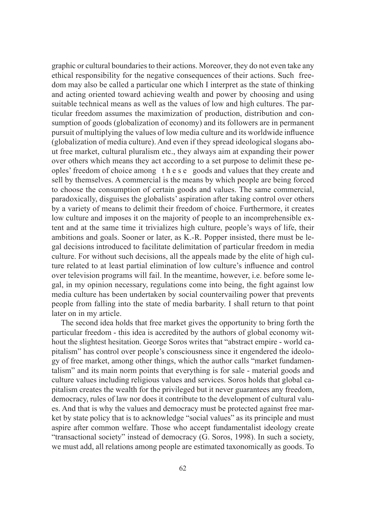graphic or cultural boundaries to their actions. Moreover, they do not even take any ethical responsibility for the negative consequences of their actions. Such freedom may also be called a particular one which I interpret as the state of thinking and acting oriented toward achieving wealth and power by choosing and using suitable technical means as well as the values of low and high cultures. The particular freedom assumes the maximization of production, distribution and consumption of goods (globalization of economy) and its followers are in permanent pursuit of multiplying the values of low media culture and its worldwide influence (globalization of media culture). And even if they spread ideological slogans about free market, cultural pluralism etc., they always aim at expanding their power over others which means they act according to a set purpose to delimit these peoples' freedom of choice among t h e s e goods and values that they create and sell by themselves. A commercial is the means by which people are being forced to choose the consumption of certain goods and values. The same commercial, paradoxically, disguises the globalists' aspiration after taking control over others by a variety of means to delimit their freedom of choice. Furthermore, it creates low culture and imposes it on the majority of people to an incomprehensible extent and at the same time it trivializes high culture, people's ways of life, their ambitions and goals. Sooner or later, as K.-R. Popper insisted, there must be legal decisions introduced to facilitate delimitation of particular freedom in media culture. For without such decisions, all the appeals made by the elite of high culture related to at least partial elimination of low culture's influence and control over television programs will fail. In the meantime, however, i.e. before some legal, in my opinion necessary, regulations come into being, the fight against low media culture has been undertaken by social countervailing power that prevents people from falling into the state of media barbarity. I shall return to that point later on in my article.

The second idea holds that free market gives the opportunity to bring forth the particular freedom - this idea is accredited by the authors of global economy without the slightest hesitation. George Soros writes that "abstract empire - world capitalism" has control over people's consciousness since it engendered the ideology of free market, among other things, which the author calls "market fundamentalism" and its main norm points that everything is for sale - material goods and culture values including religious values and services. Soros holds that global capitalism creates the wealth for the privileged but it never guarantees any freedom, democracy, rules of law nor does it contribute to the development of cultural values. And that is why the values and democracy must be protected against free market by state policy that is to acknowledge "social values" as its principle and must aspire after common welfare. Those who accept fundamentalist ideology create "transactional society" instead of democracy (G. Soros, 1998). In such a society, we must add, all relations among people are estimated taxonomically as goods. To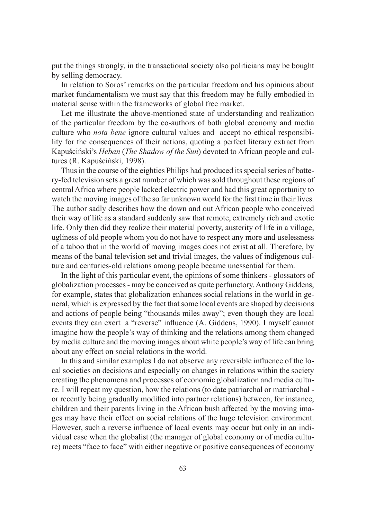put the things strongly, in the transactional society also politicians may be bought by selling democracy.

In relation to Soros' remarks on the particular freedom and his opinions about market fundamentalism we must say that this freedom may be fully embodied in material sense within the frameworks of global free market.

Let me illustrate the above-mentioned state of understanding and realization of the particular freedom by the co-authors of both global economy and media culture who *nota bene* ignore cultural values and accept no ethical responsibility for the consequences of their actions, quoting a perfect literary extract from Kapuściński's *Heban* (*The Shadow of the Sun*) devoted to African people and cultures (R. Kapuściński, 1998).

Thus in the course of the eighties Philips had produced its special series of battery-fed television sets a great number of which was sold throughout these regions of central Africa where people lacked electric power and had this great opportunity to watch the moving images of the so far unknown world for the first time in their lives. The author sadly describes how the down and out African people who conceived their way of life as a standard suddenly saw that remote, extremely rich and exotic life. Only then did they realize their material poverty, austerity of life in a village, ugliness of old people whom you do not have to respect any more and uselessness of a taboo that in the world of moving images does not exist at all. Therefore, by means of the banal television set and trivial images, the values of indigenous culture and centuries-old relations among people became unessential for them.

In the light of this particular event, the opinions of some thinkers - glossators of globalization processes - may be conceived as quite perfunctory. Anthony Giddens, for example, states that globalization enhances social relations in the world in general, which is expressed by the fact that some local events are shaped by decisions and actions of people being "thousands miles away"; even though they are local events they can exert a "reverse" influence (A. Giddens, 1990). I myself cannot imagine how the people's way of thinking and the relations among them changed by media culture and the moving images about white people's way of life can bring about any effect on social relations in the world.

In this and similar examples I do not observe any reversible influence of the local societies on decisions and especially on changes in relations within the society creating the phenomena and processes of economic globalization and media culture. I will repeat my question, how the relations (to date patriarchal or matriarchal or recently being gradually modified into partner relations) between, for instance, children and their parents living in the African bush affected by the moving images may have their effect on social relations of the huge television environment. However, such a reverse influence of local events may occur but only in an individual case when the globalist (the manager of global economy or of media culture) meets "face to face" with either negative or positive consequences of economy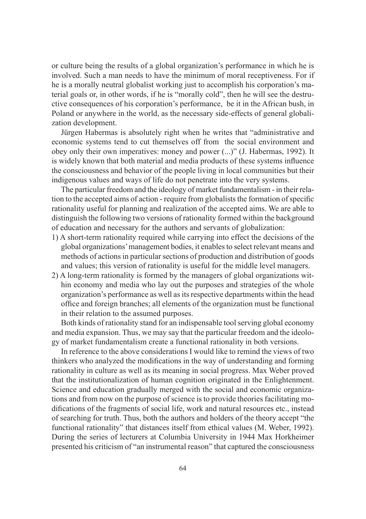or culture being the results of a global organization's performance in which he is involved. Such a man needs to have the minimum of moral receptiveness. For if he is a morally neutral globalist working just to accomplish his corporation's material goals or, in other words, if he is "morally cold", then he will see the destructive consequences of his corporation's performance, be it in the African bush, in Poland or anywhere in the world, as the necessary side-effects of general globalization development.

Jürgen Habermas is absolutely right when he writes that "administrative and economic systems tend to cut themselves off from the social environment and obey only their own imperatives: money and power (...)" (J. Habermas, 1992). It is widely known that both material and media products of these systems influence the consciousness and behavior of the people living in local communities but their indigenous values and ways of life do not penetrate into the very systems.

The particular freedom and the ideology of market fundamentalism - in their relation to the accepted aims of action - require from globalists the formation of specific rationality useful for planning and realization of the accepted aims. We are able to distinguish the following two versions of rationality formed within the background of education and necessary for the authors and servants of globalization:

- 1) A short-term rationality required while carrying into effect the decisions of the global organizations' management bodies, it enables to select relevant means and methods of actions in particular sections of production and distribution of goods and values; this version of rationality is useful for the middle level managers.
- 2) A long-term rationality is formed by the managers of global organizations within economy and media who lay out the purposes and strategies of the whole organization's performance as well as its respective departments within the head office and foreign branches; all elements of the organization must be functional in their relation to the assumed purposes.

Both kinds of rationality stand for an indispensable tool serving global economy and media expansion. Thus, we may say that the particular freedom and the ideology of market fundamentalism create a functional rationality in both versions.

In reference to the above considerations I would like to remind the views of two thinkers who analyzed the modifications in the way of understanding and forming rationality in culture as well as its meaning in social progress. Max Weber proved that the institutionalization of human cognition originated in the Enlightenment. Science and education gradually merged with the social and economic organizations and from now on the purpose of science is to provide theories facilitating modifications of the fragments of social life, work and natural resources etc., instead of searching for truth. Thus, both the authors and holders of the theory accept "the functional rationality" that distances itself from ethical values (M. Weber, 1992). During the series of lecturers at Columbia University in 1944 Max Horkheimer presented his criticism of "an instrumental reason" that captured the consciousness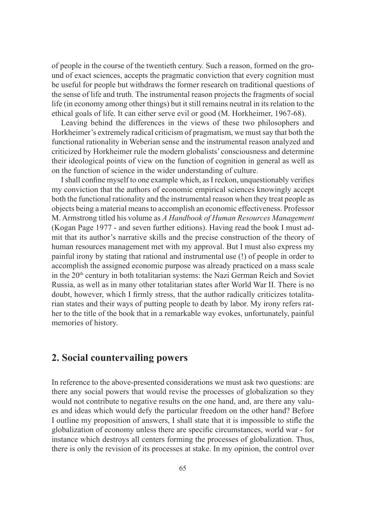of people in the course of the twentieth century. Such a reason, formed on the ground of exact sciences, accepts the pragmatic conviction that every cognition must be useful for people but withdraws the former research on traditional questions of the sense of life and truth. The instrumental reason projects the fragments of social life (in economy among other things) but it still remains neutral in its relation to the ethical goals of life. It can either serve evil or good (M. Horkheimer, 1967-68).

Leaving behind the differences in the views of these two philosophers and Horkheimer's extremely radical criticism of pragmatism, we must say that both the functional rationality in Weberian sense and the instrumental reason analyzed and criticized by Horkheimer rule the modern globalists' consciousness and determine their ideological points of view on the function of cognition in general as well as on the function of science in the wider understanding of culture.

I shall confine myself to one example which, as I reckon, unquestionably verifies my conviction that the authors of economic empirical sciences knowingly accept both the functional rationality and the instrumental reason when they treat people as objects being a material means to accomplish an economic effectiveness. Professor M. Armstrong titled his volume as *A Handbook of Human Resources Management*  (Kogan Page 1977 - and seven further editions). Having read the book I must admit that its author's narrative skills and the precise construction of the theory of human resources management met with my approval. But I must also express my painful irony by stating that rational and instrumental use (!) of people in order to accomplish the assigned economic purpose was already practiced on a mass scale in the 20<sup>th</sup> century in both totalitarian systems: the Nazi German Reich and Soviet Russia, as well as in many other totalitarian states after World War II. There is no doubt, however, which I firmly stress, that the author radically criticizes totalitarian states and their ways of putting people to death by labor. My irony refers rather to the title of the book that in a remarkable way evokes, unfortunately, painful memories of history.

### **2. Social countervailing powers**

In reference to the above-presented considerations we must ask two questions: are there any social powers that would revise the processes of globalization so they would not contribute to negative results on the one hand, and, are there any values and ideas which would defy the particular freedom on the other hand? Before I outline my proposition of answers, I shall state that it is impossible to stifle the globalization of economy unless there are specific circumstances, world war - for instance which destroys all centers forming the processes of globalization. Thus, there is only the revision of its processes at stake. In my opinion, the control over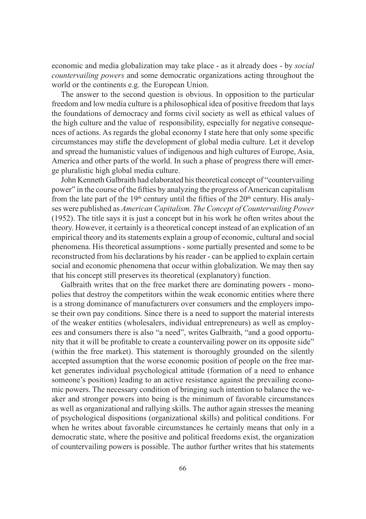economic and media globalization may take place - as it already does - by *social countervailing powers* and some democratic organizations acting throughout the world or the continents e.g. the European Union.

The answer to the second question is obvious. In opposition to the particular freedom and low media culture is a philosophical idea of positive freedom that lays the foundations of democracy and forms civil society as well as ethical values of the high culture and the value of responsibility, especially for negative consequences of actions. As regards the global economy I state here that only some specific circumstances may stifle the development of global media culture. Let it develop and spread the humanistic values of indigenous and high cultures of Europe, Asia, America and other parts of the world. In such a phase of progress there will emerge pluralistic high global media culture.

John Kenneth Galbraith had elaborated his theoretical concept of "countervailing power" in the course of the fifties by analyzing the progress of American capitalism from the late part of the  $19<sup>th</sup>$  century until the fifties of the  $20<sup>th</sup>$  century. His analyses were published as *American Capitalism. The Concept of Countervailing Power* (1952). The title says it is just a concept but in his work he often writes about the theory. However, it certainly is a theoretical concept instead of an explication of an empirical theory and its statements explain a group of economic, cultural and social phenomena. His theoretical assumptions - some partially presented and some to be reconstructed from his declarations by his reader - can be applied to explain certain social and economic phenomena that occur within globalization. We may then say that his concept still preserves its theoretical (explanatory) function.

Galbraith writes that on the free market there are dominating powers - monopolies that destroy the competitors within the weak economic entities where there is a strong dominance of manufacturers over consumers and the employers impose their own pay conditions. Since there is a need to support the material interests of the weaker entities (wholesalers, individual entrepreneurs) as well as employees and consumers there is also "a need", writes Galbraith, "and a good opportunity that it will be profitable to create a countervailing power on its opposite side" (within the free market). This statement is thoroughly grounded on the silently accepted assumption that the worse economic position of people on the free market generates individual psychological attitude (formation of a need to enhance someone's position) leading to an active resistance against the prevailing economic powers. The necessary condition of bringing such intention to balance the weaker and stronger powers into being is the minimum of favorable circumstances as well as organizational and rallying skills. The author again stresses the meaning of psychological dispositions (organizational skills) and political conditions. For when he writes about favorable circumstances he certainly means that only in a democratic state, where the positive and political freedoms exist, the organization of countervailing powers is possible. The author further writes that his statements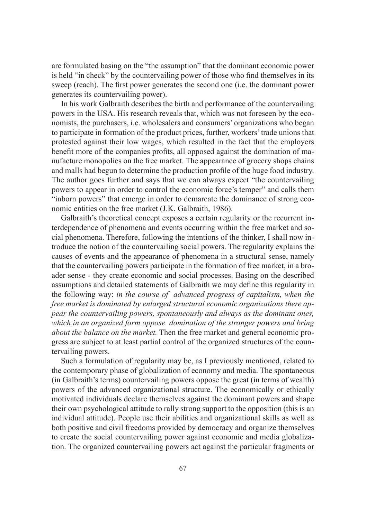are formulated basing on the "the assumption" that the dominant economic power is held "in check" by the countervailing power of those who find themselves in its sweep (reach). The first power generates the second one (i.e. the dominant power generates its countervailing power).

In his work Galbraith describes the birth and performance of the countervailing powers in the USA. His research reveals that, which was not foreseen by the economists, the purchasers, i.e. wholesalers and consumers' organizations who began to participate in formation of the product prices, further, workers' trade unions that protested against their low wages, which resulted in the fact that the employers benefit more of the companies profits, all opposed against the domination of manufacture monopolies on the free market. The appearance of grocery shops chains and malls had begun to determine the production profile of the huge food industry. The author goes further and says that we can always expect "the countervailing powers to appear in order to control the economic force's temper" and calls them "inborn powers" that emerge in order to demarcate the dominance of strong economic entities on the free market (J.K. Galbraith, 1986).

Galbraith's theoretical concept exposes a certain regularity or the recurrent interdependence of phenomena and events occurring within the free market and social phenomena. Therefore, following the intentions of the thinker, I shall now introduce the notion of the countervailing social powers. The regularity explains the causes of events and the appearance of phenomena in a structural sense, namely that the countervailing powers participate in the formation of free market, in a broader sense - they create economic and social processes. Basing on the described assumptions and detailed statements of Galbraith we may define this regularity in the following way: *in the course of advanced progress of capitalism, when the free market is dominated by enlarged structural economic organizations there appear the countervailing powers, spontaneously and always as the dominant ones, which in an organized form oppose domination of the stronger powers and bring about the balance on the market.* Then the free market and general economic progress are subject to at least partial control of the organized structures of the countervailing powers.

Such a formulation of regularity may be, as I previously mentioned, related to the contemporary phase of globalization of economy and media. The spontaneous (in Galbraith's terms) countervailing powers oppose the great (in terms of wealth) powers of the advanced organizational structure. The economically or ethically motivated individuals declare themselves against the dominant powers and shape their own psychological attitude to rally strong support to the opposition (this is an individual attitude). People use their abilities and organizational skills as well as both positive and civil freedoms provided by democracy and organize themselves to create the social countervailing power against economic and media globalization. The organized countervailing powers act against the particular fragments or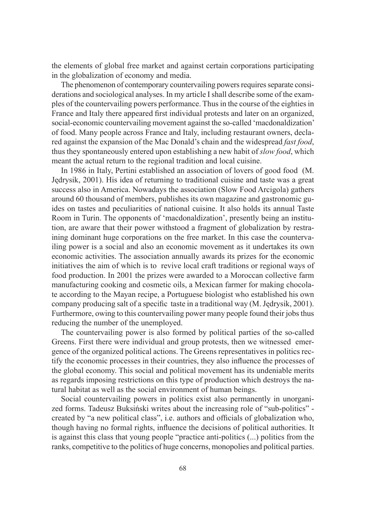the elements of global free market and against certain corporations participating in the globalization of economy and media.

The phenomenon of contemporary countervailing powers requires separate considerations and sociological analyses. In my article I shall describe some of the examples of the countervailing powers performance. Thus in the course of the eighties in France and Italy there appeared first individual protests and later on an organized, social-economic countervailing movement against the so-called 'macdonaldization' of food. Many people across France and Italy, including restaurant owners, declared against the expansion of the Mac Donald's chain and the widespread *fast food*, thus they spontaneously entered upon establishing a new habit of *slow food*, which meant the actual return to the regional tradition and local cuisine.

In 1986 in Italy, Pertini established an association of lovers of good food (M. Jędrysik, 2001). His idea of returning to traditional cuisine and taste was a great success also in America. Nowadays the association (Slow Food Arcigola) gathers around 60 thousand of members, publishes its own magazine and gastronomic guides on tastes and peculiarities of national cuisine. It also holds its annual Taste Room in Turin. The opponents of 'macdonaldization', presently being an institution, are aware that their power withstood a fragment of globalization by restraining dominant huge corporations on the free market. In this case the countervailing power is a social and also an economic movement as it undertakes its own economic activities. The association annually awards its prizes for the economic initiatives the aim of which is to revive local craft traditions or regional ways of food production. In 2001 the prizes were awarded to a Moroccan collective farm manufacturing cooking and cosmetic oils, a Mexican farmer for making chocolate according to the Mayan recipe, a Portuguese biologist who established his own company producing salt of a specific taste in a traditional way  $(M.$  Jędrysik, 2001). Furthermore, owing to this countervailing power many people found their jobs thus reducing the number of the unemployed.

The countervailing power is also formed by political parties of the so-called Greens. First there were individual and group protests, then we witnessed emergence of the organized political actions. The Greens representatives in politics rectify the economic processes in their countries, they also influence the processes of the global economy. This social and political movement has its undeniable merits as regards imposing restrictions on this type of production which destroys the natural habitat as well as the social environment of human beings.

Social countervailing powers in politics exist also permanently in unorganized forms. Tadeusz Buksiński writes about the increasing role of "sub-politics" created by "a new political class", i.e. authors and officials of globalization who, though having no formal rights, influence the decisions of political authorities. It is against this class that young people "practice anti-politics (...) politics from the ranks, competitive to the politics of huge concerns, monopolies and political parties.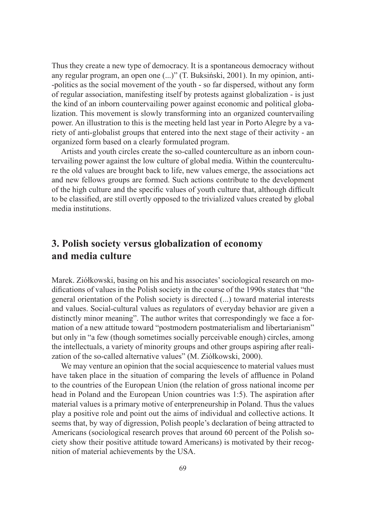Thus they create a new type of democracy. It is a spontaneous democracy without any regular program, an open one (...)" (T. Buksiński, 2001). In my opinion, anti- -politics as the social movement of the youth - so far dispersed, without any form of regular association, manifesting itself by protests against globalization - is just the kind of an inborn countervailing power against economic and political globalization. This movement is slowly transforming into an organized countervailing power. An illustration to this is the meeting held last year in Porto Alegre by a variety of anti-globalist groups that entered into the next stage of their activity - an organized form based on a clearly formulated program.

Artists and youth circles create the so-called counterculture as an inborn countervailing power against the low culture of global media. Within the counterculture the old values are brought back to life, new values emerge, the associations act and new fellows groups are formed. Such actions contribute to the development of the high culture and the specific values of youth culture that, although difficult to be classified, are still overtly opposed to the trivialized values created by global media institutions.

## **3. Polish society versus globalization of economy and media culture**

Marek. Ziółkowski, basing on his and his associates' sociological research on modifications of values in the Polish society in the course of the 1990s states that "the general orientation of the Polish society is directed (...) toward material interests and values. Social-cultural values as regulators of everyday behavior are given a distinctly minor meaning". The author writes that correspondingly we face a formation of a new attitude toward "postmodern postmaterialism and libertarianism" but only in "a few (though sometimes socially perceivable enough) circles, among the intellectuals, a variety of minority groups and other groups aspiring after realization of the so-called alternative values" (M. Ziółkowski, 2000).

We may venture an opinion that the social acquiescence to material values must have taken place in the situation of comparing the levels of affluence in Poland to the countries of the European Union (the relation of gross national income per head in Poland and the European Union countries was 1:5). The aspiration after material values is a primary motive of enterpreneurship in Poland. Thus the values play a positive role and point out the aims of individual and collective actions. It seems that, by way of digression, Polish people's declaration of being attracted to Americans (sociological research proves that around 60 percent of the Polish society show their positive attitude toward Americans) is motivated by their recognition of material achievements by the USA.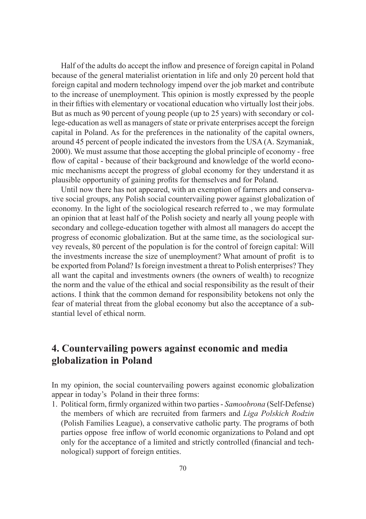Half of the adults do accept the inflow and presence of foreign capital in Poland because of the general materialist orientation in life and only 20 percent hold that foreign capital and modern technology impend over the job market and contribute to the increase of unemployment. This opinion is mostly expressed by the people in their fifties with elementary or vocational education who virtually lost their jobs. But as much as 90 percent of young people (up to 25 years) with secondary or college-education as well as managers of state or private enterprises accept the foreign capital in Poland. As for the preferences in the nationality of the capital owners, around 45 percent of people indicated the investors from the USA (A. Szymaniak, 2000). We must assume that those accepting the global principle of economy - free flow of capital - because of their background and knowledge of the world economic mechanisms accept the progress of global economy for they understand it as plausible opportunity of gaining profits for themselves and for Poland.

Until now there has not appeared, with an exemption of farmers and conservative social groups, any Polish social countervailing power against globalization of economy. In the light of the sociological research referred to , we may formulate an opinion that at least half of the Polish society and nearly all young people with secondary and college-education together with almost all managers do accept the progress of economic globalization. But at the same time, as the sociological survey reveals, 80 percent of the population is for the control of foreign capital: Will the investments increase the size of unemployment? What amount of profit is to be exported from Poland? Is foreign investment a threat to Polish enterprises? They all want the capital and investments owners (the owners of wealth) to recognize the norm and the value of the ethical and social responsibility as the result of their actions. I think that the common demand for responsibility betokens not only the fear of material threat from the global economy but also the acceptance of a substantial level of ethical norm.

# **4. Countervailing powers against economic and media globalization in Poland**

In my opinion, the social countervailing powers against economic globalization appear in today's Poland in their three forms:

1. Political form, fi rmly organized within two parties - *Samoobrona* (Self-Defense) the members of which are recruited from farmers and *Liga Polskich Rodzin* (Polish Families League), a conservative catholic party. The programs of both parties oppose free inflow of world economic organizations to Poland and opt only for the acceptance of a limited and strictly controlled (financial and technological) support of foreign entities.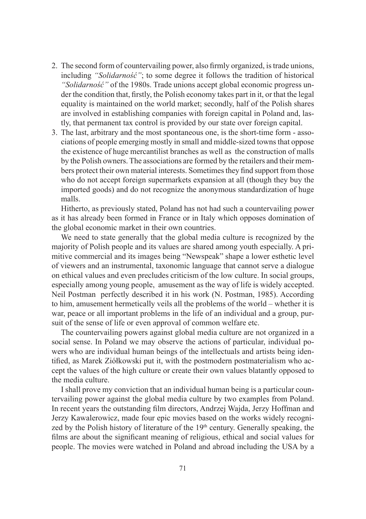- 2. The second form of countervailing power, also firmly organized, is trade unions, including *"Solidarność"*; to some degree it follows the tradition of historical *"Solidarność"* of the 1980s. Trade unions accept global economic progress under the condition that, firstly, the Polish economy takes part in it, or that the legal equality is maintained on the world market; secondly, half of the Polish shares are involved in establishing companies with foreign capital in Poland and, lastly, that permanent tax control is provided by our state over foreign capital.
- 3. The last, arbitrary and the most spontaneous one, is the short-time form associations of people emerging mostly in small and middle-sized towns that oppose the existence of huge mercantilist branches as well as the construction of malls by the Polish owners. The associations are formed by the retailers and their members protect their own material interests. Sometimes they find support from those who do not accept foreign supermarkets expansion at all (though they buy the imported goods) and do not recognize the anonymous standardization of huge malls.

Hitherto, as previously stated, Poland has not had such a countervailing power as it has already been formed in France or in Italy which opposes domination of the global economic market in their own countries.

We need to state generally that the global media culture is recognized by the majority of Polish people and its values are shared among youth especially. A primitive commercial and its images being "Newspeak" shape a lower esthetic level of viewers and an instrumental, taxonomic language that cannot serve a dialogue on ethical values and even precludes criticism of the low culture. In social groups, especially among young people, amusement as the way of life is widely accepted. Neil Postman perfectly described it in his work (N. Postman, 1985). According to him, amusement hermetically veils all the problems of the world – whether it is war, peace or all important problems in the life of an individual and a group, pursuit of the sense of life or even approval of common welfare etc.

The countervailing powers against global media culture are not organized in a social sense. In Poland we may observe the actions of particular, individual powers who are individual human beings of the intellectuals and artists being identified, as Marek Ziółkowski put it, with the postmodern postmaterialism who accept the values of the high culture or create their own values blatantly opposed to the media culture.

I shall prove my conviction that an individual human being is a particular countervailing power against the global media culture by two examples from Poland. In recent years the outstanding film directors, Andrzej Wajda, Jerzy Hoffman and Jerzy Kawalerowicz, made four epic movies based on the works widely recognized by the Polish history of literature of the 19<sup>th</sup> century. Generally speaking, the films are about the significant meaning of religious, ethical and social values for people. The movies were watched in Poland and abroad including the USA by a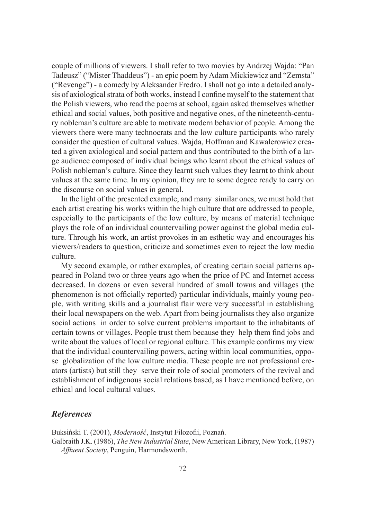couple of millions of viewers. I shall refer to two movies by Andrzej Wajda: "Pan Tadeusz" ("Mister Thaddeus") - an epic poem by Adam Mickiewicz and "Zemsta" ("Revenge") - a comedy by Aleksander Fredro. I shall not go into a detailed analysis of axiological strata of both works, instead I confine myself to the statement that the Polish viewers, who read the poems at school, again asked themselves whether ethical and social values, both positive and negative ones, of the nineteenth-century nobleman's culture are able to motivate modern behavior of people. Among the viewers there were many technocrats and the low culture participants who rarely consider the question of cultural values. Wajda, Hoffman and Kawalerowicz created a given axiological and social pattern and thus contributed to the birth of a large audience composed of individual beings who learnt about the ethical values of Polish nobleman's culture. Since they learnt such values they learnt to think about values at the same time. In my opinion, they are to some degree ready to carry on the discourse on social values in general.

In the light of the presented example, and many similar ones, we must hold that each artist creating his works within the high culture that are addressed to people, especially to the participants of the low culture, by means of material technique plays the role of an individual countervailing power against the global media culture. Through his work, an artist provokes in an esthetic way and encourages his viewers/readers to question, criticize and sometimes even to reject the low media culture.

My second example, or rather examples, of creating certain social patterns appeared in Poland two or three years ago when the price of PC and Internet access decreased. In dozens or even several hundred of small towns and villages (the phenomenon is not officially reported) particular individuals, mainly young people, with writing skills and a journalist flair were very successful in establishing their local newspapers on the web. Apart from being journalists they also organize social actions in order to solve current problems important to the inhabitants of certain towns or villages. People trust them because they help them find jobs and write about the values of local or regional culture. This example confirms my view that the individual countervailing powers, acting within local communities, oppose globalization of the low culture media. These people are not professional creators (artists) but still they serve their role of social promoters of the revival and establishment of indigenous social relations based, as I have mentioned before, on ethical and local cultural values.

#### *References*

Buksiński T. (2001), *Moderność*, Instytut Filozofii, Poznań. Galbraith J.K. (1986), *The New Industrial State*, New American Library, New York, (1987) Affluent Society, Penguin, Harmondsworth.